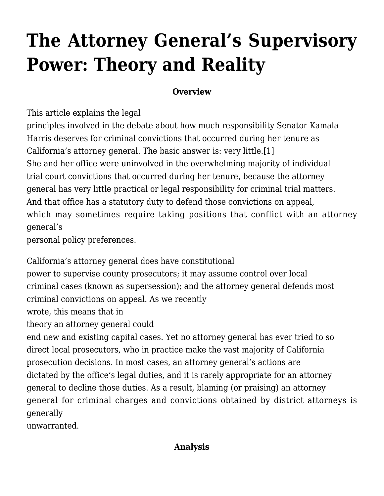# **[The Attorney General's Supervisory](http://scocablog.com/the-attorney-generals-supervisory-power-theory-and-reality/) [Power: Theory and Reality](http://scocablog.com/the-attorney-generals-supervisory-power-theory-and-reality/)**

## **Overview**

This article explains the legal

principles involved in the debate about how much responsibility Senator Kamala Harris deserves for criminal convictions that occurred during her tenure as California's attorney general. The basic answer is: very little[.\[1\]](#page--1-0) She and her office were uninvolved in the overwhelming majority of individual trial court convictions that occurred during her tenure, because the attorney general has very little practical or legal responsibility for criminal trial matters. And that office has a statutory duty to defend those convictions on appeal, which may sometimes require taking positions that conflict with an attorney general's

personal policy preferences.

California's attorney general does have constitutional

power to supervise county prosecutors; it may assume control over local criminal cases (known as supersession); and the attorney general defends most criminal convictions on appeal. As we [recently](http://scocablog.com/a-governor-probably-can-stop-capital-cases-by-executive-order/)

[wrote](http://scocablog.com/a-governor-probably-can-stop-capital-cases-by-executive-order/), this means that in

theory an attorney general could

end new and existing capital cases. Yet no attorney general has ever tried to so direct local prosecutors, who in practice make the vast majority of California prosecution decisions. In most cases, an attorney general's actions are dictated by the office's legal duties, and it is rarely appropriate for an attorney general to decline those duties. As a result, blaming (or praising) an attorney general for criminal charges and convictions obtained by district attorneys is generally

unwarranted.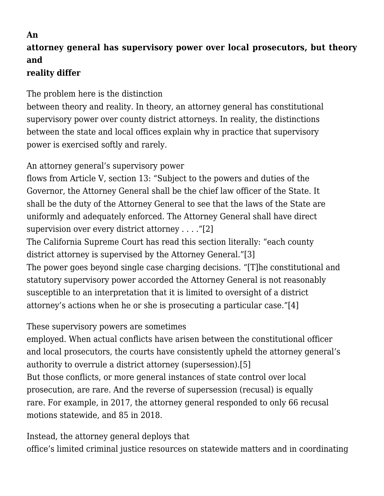## **An attorney general has supervisory power over local prosecutors, but theory and**

# **reality differ**

The problem here is the distinction

between theory and reality. In theory, an attorney general has constitutional supervisory power over county district attorneys. In reality, the distinctions between the state and local offices explain why in practice that supervisory power is exercised softly and rarely.

An attorney general's supervisory power

flows from Article V, section 13: "Subject to the powers and duties of the Governor, the Attorney General shall be the chief law officer of the State. It shall be the duty of the Attorney General to see that the laws of the State are uniformly and adequately enforced. The Attorney General shall have direct supervision over every district attorney . . . .["\[2\]](#page--1-0)

The California Supreme Court has read this section literally: "each county district attorney is supervised by the Attorney General.["\[3\]](#page--1-0) The power goes beyond single case charging decisions. "[T]he constitutional and statutory supervisory power accorded the Attorney General is not reasonably susceptible to an interpretation that it is limited to oversight of a district attorney's actions when he or she is prosecuting a particular case.["\[4\]](#page--1-0)

These supervisory powers are sometimes

employed. When actual conflicts have arisen between the constitutional officer and local prosecutors, the courts have consistently upheld the attorney general's authority to overrule a district attorney (supersession).[\[5\]](#page--1-0) But those conflicts, or more general instances of state control over local prosecution, are rare. And the reverse of supersession (recusal) is equally rare. For example, in 2017, the attorney general responded to only 66 recusal motions statewide, and 85 in 2018.

Instead, the attorney general deploys that office's limited criminal justice resources on statewide matters and in coordinating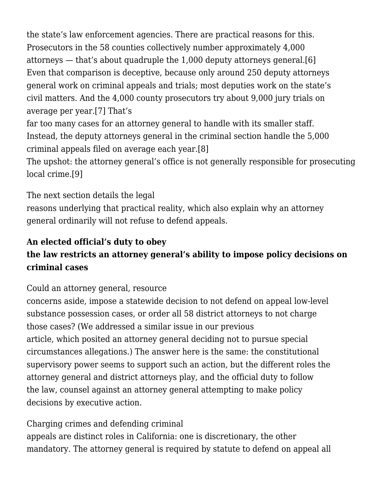the state's law enforcement agencies. There are practical reasons for this. Prosecutors in the 58 counties collectively number approximately 4,000 attorneys — that's about quadruple the 1,000 deputy attorneys general.[\[6\]](#page--1-0) Even that comparison is deceptive, because only around 250 deputy attorneys general work on criminal appeals and trials; most deputies work on the state's civil matters. And the 4,000 county prosecutors try about 9,000 jury trials on average per year[.\[7\]](#page--1-0) That's

far too many cases for an attorney general to handle with its smaller staff. Instead, the deputy attorneys general in the criminal section handle the 5,000 criminal appeals filed on average each year.[\[8\]](#page--1-0)

The upshot: the attorney general's office is not generally responsible for prosecuting local crime.[\[9\]](#page--1-0)

The next section details the legal

reasons underlying that practical reality, which also explain why an attorney general ordinarily will not refuse to defend appeals.

# **An elected official's duty to obey**

# **the law restricts an attorney general's ability to impose policy decisions on criminal cases**

Could an attorney general, resource

concerns aside, impose a statewide decision to not defend on appeal low-level substance possession cases, or order all 58 district attorneys to not charge those cases? (We addressed a similar issue in our [previous](http://scocablog.com/a-governor-probably-can-stop-capital-cases-by-executive-order/) [article](http://scocablog.com/a-governor-probably-can-stop-capital-cases-by-executive-order/), which posited an attorney general deciding not to pursue special circumstances allegations.) The answer here is the same: the constitutional supervisory power seems to support such an action, but the different roles the attorney general and district attorneys play, and the official duty to follow the law, counsel against an attorney general attempting to make policy decisions by executive action.

# Charging crimes and defending criminal

appeals are distinct roles in California: one is discretionary, the other mandatory. The attorney general is required by statute to defend on appeal all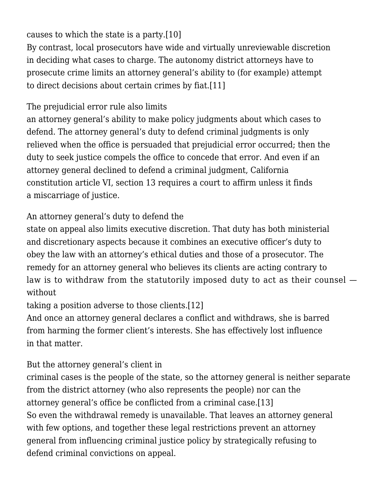## causes to which the state is a party[.\[10\]](#page--1-0)

By contrast, local prosecutors have wide and virtually unreviewable discretion in deciding what cases to charge. The autonomy district attorneys have to prosecute crime limits an attorney general's ability to (for example) attempt to direct decisions about certain crimes by fiat[.\[11\]](#page--1-0)

# The prejudicial error rule also limits

an attorney general's ability to make policy judgments about which cases to defend. The attorney general's duty to defend criminal judgments is only relieved when the office is persuaded that prejudicial error occurred; then the duty to seek justice compels the office to concede that error. And even if an attorney general declined to defend a criminal judgment, California constitution article VI, section 13 requires a court to affirm unless it finds a miscarriage of justice.

## An attorney general's duty to defend the

state on appeal also limits executive discretion. That duty has both ministerial and discretionary aspects because it combines an executive officer's duty to obey the law with an attorney's ethical duties and those of a prosecutor. The remedy for an attorney general who believes its clients are acting contrary to law is to withdraw from the statutorily imposed duty to act as their counsel without

taking a position adverse to those clients[.\[12\]](#page--1-0)

And once an attorney general declares a conflict and withdraws, she is barred from harming the former client's interests. She has effectively lost influence in that matter.

# But the attorney general's client in

criminal cases is the people of the state, so the attorney general is neither separate from the district attorney (who also represents the people) nor can the attorney general's office be conflicted from a criminal case.[\[13\]](#page--1-0) So even the withdrawal remedy is unavailable. That leaves an attorney general with few options, and together these legal restrictions prevent an attorney general from influencing criminal justice policy by strategically refusing to defend criminal convictions on appeal.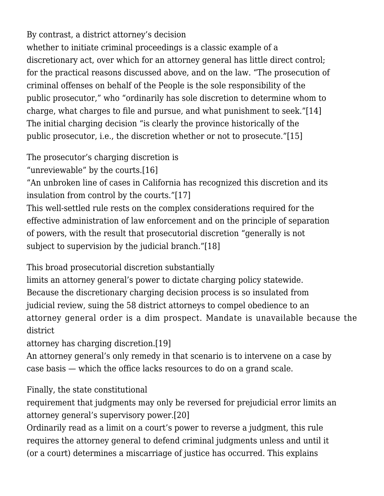By contrast, a district attorney's decision whether to initiate criminal proceedings is a classic example of a discretionary act, over which for an attorney general has little direct control; for the practical reasons discussed above, and on the law. "The prosecution of criminal offenses on behalf of the People is the sole responsibility of the public prosecutor," who "ordinarily has sole discretion to determine whom to charge, what charges to file and pursue, and what punishment to seek."[\[14\]](#page--1-0) The initial charging decision "is clearly the province historically of the public prosecutor, i.e., the discretion whether or not to prosecute."[\[15\]](#page--1-0)

The prosecutor's charging discretion is

"unreviewable" by the courts.[\[16\]](#page--1-0)

"An unbroken line of cases in California has recognized this discretion and its insulation from control by the courts.["\[17\]](#page--1-0)

This well-settled rule rests on the complex considerations required for the effective administration of law enforcement and on the principle of separation of powers, with the result that prosecutorial discretion "generally is not subject to supervision by the judicial branch.["\[18\]](#page--1-0)

This broad prosecutorial discretion substantially

limits an attorney general's power to dictate charging policy statewide. Because the discretionary charging decision process is so insulated from judicial review, suing the 58 district attorneys to compel obedience to an attorney general order is a dim prospect. Mandate is unavailable because the district

attorney has charging discretion.[\[19\]](#page--1-0)

An attorney general's only remedy in that scenario is to intervene on a case by case basis — which the office lacks resources to do on a grand scale.

Finally, the state constitutional

requirement that judgments may only be reversed for prejudicial error limits an attorney general's supervisory power[.\[20\]](#page--1-0)

Ordinarily read as a limit on a court's power to reverse a judgment, this rule requires the attorney general to defend criminal judgments unless and until it (or a court) determines a miscarriage of justice has occurred. This explains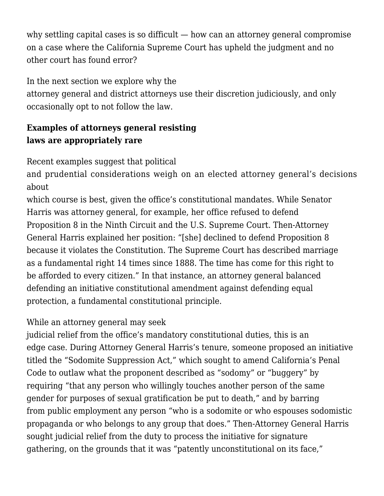why settling capital cases is so difficult — how can an attorney general compromise on a case where the California Supreme Court has upheld the judgment and no other court has found error?

In the next section we explore why the

attorney general and district attorneys use their discretion judiciously, and only occasionally opt to not follow the law.

# **Examples of attorneys general resisting laws are appropriately rare**

Recent examples suggest that political

and prudential considerations weigh on an elected attorney general's decisions about

which course is best, given the office's constitutional mandates. While Senator Harris was attorney general, for example, her office refused to defend Proposition 8 in the Ninth Circuit and the U.S. Supreme Court. Then-Attorney General Harris explained her position: "[she] declined to defend Proposition 8 because it violates the Constitution. The Supreme Court has described marriage as a fundamental right 14 times since 1888. The time has come for this right to be afforded to every citizen." In that instance, an attorney general balanced defending an initiative constitutional amendment against defending equal protection, a fundamental constitutional principle.

## While an attorney general may seek

judicial relief from the office's mandatory constitutional duties, this is an edge case. During Attorney General Harris's tenure, someone proposed an initiative titled the "Sodomite Suppression Act," which sought to amend California's Penal Code to outlaw what the proponent described as "sodomy" or "buggery" by requiring "that any person who willingly touches another person of the same gender for purposes of sexual gratification be put to death," and by barring from public employment any person "who is a sodomite or who espouses sodomistic propaganda or who belongs to any group that does." Then-Attorney General Harris sought judicial relief from the duty to process the initiative for signature gathering, on the grounds that it was "patently unconstitutional on its face,"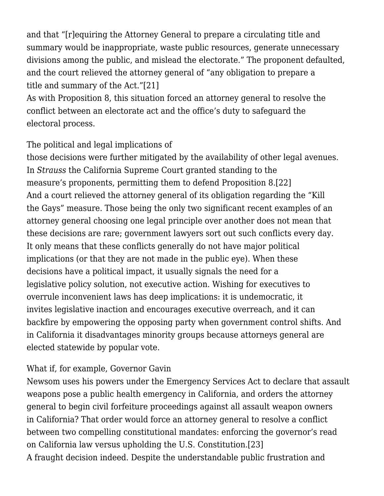and that "[r]equiring the Attorney General to prepare a circulating title and summary would be inappropriate, waste public resources, generate unnecessary divisions among the public, and mislead the electorate." The proponent defaulted, and the court relieved the attorney general of "any obligation to prepare a title and summary of the Act."[\[21\]](#page--1-0)

As with Proposition 8, this situation forced an attorney general to resolve the conflict between an electorate act and the office's duty to safeguard the electoral process.

#### The political and legal implications of

those decisions were further mitigated by the availability of other legal avenues. In *Strauss* the California Supreme Court granted standing to the measure's proponents, permitting them to defend Proposition 8.[\[22\]](#page--1-0) And a court relieved the attorney general of its obligation regarding the "Kill the Gays" measure. Those being the only two significant recent examples of an attorney general choosing one legal principle over another does not mean that these decisions are rare; government lawyers sort out such conflicts every day. It only means that these conflicts generally do not have major political implications (or that they are not made in the public eye). When these decisions have a political impact, it usually signals the need for a legislative policy solution, not executive action. Wishing for executives to overrule inconvenient laws has deep implications: it is undemocratic, it invites legislative inaction and encourages executive overreach, and it can backfire by empowering the opposing party when government control shifts. And in California it disadvantages minority groups because attorneys general are elected statewide by popular vote.

#### What if, for example, Governor Gavin

Newsom uses his powers under the Emergency Services Act to declare that assault weapons pose a public health emergency in California, and orders the attorney general to begin civil forfeiture proceedings against all assault weapon owners in California? That order would force an attorney general to resolve a conflict between two compelling constitutional mandates: enforcing the governor's read on California law versus upholding the U.S. Constitution[.\[23\]](#page--1-0) A fraught decision indeed. Despite the understandable public frustration and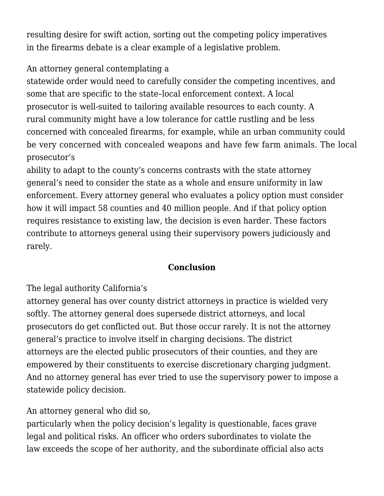resulting desire for swift action, sorting out the competing policy imperatives in the firearms debate is a clear example of a legislative problem.

## An attorney general contemplating a

statewide order would need to carefully consider the competing incentives, and some that are specific to the state–local enforcement context. A local prosecutor is well-suited to tailoring available resources to each county. A rural community might have a low tolerance for cattle rustling and be less concerned with concealed firearms, for example, while an urban community could be very concerned with concealed weapons and have few farm animals. The local prosecutor's

ability to adapt to the county's concerns contrasts with the state attorney general's need to consider the state as a whole and ensure uniformity in law enforcement. Every attorney general who evaluates a policy option must consider how it will impact 58 counties and 40 million people. And if that policy option requires resistance to existing law, the decision is even harder. These factors contribute to attorneys general using their supervisory powers judiciously and rarely.

#### **Conclusion**

The legal authority California's

attorney general has over county district attorneys in practice is wielded very softly. The attorney general does supersede district attorneys, and local prosecutors do get conflicted out. But those occur rarely. It is not the attorney general's practice to involve itself in charging decisions. The district attorneys are the elected public prosecutors of their counties, and they are empowered by their constituents to exercise discretionary charging judgment. And no attorney general has ever tried to use the supervisory power to impose a statewide policy decision.

## An attorney general who did so,

particularly when the policy decision's legality is questionable, faces grave legal and political risks. An officer who orders subordinates to violate the law exceeds the scope of her authority, and the subordinate official also acts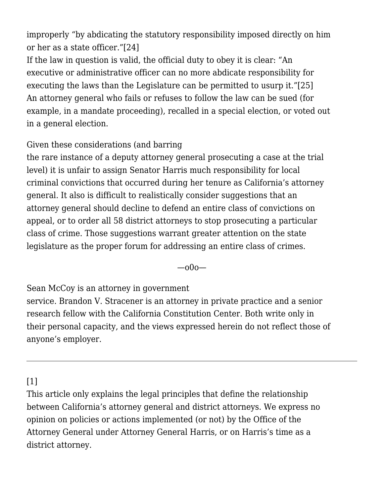improperly "by abdicating the statutory responsibility imposed directly on him or her as a state officer."[\[24\]](#page--1-0)

If the law in question is valid, the official duty to obey it is clear: "An executive or administrative officer can no more abdicate responsibility for executing the laws than the Legislature can be permitted to usurp it."[\[25\]](#page--1-0) An attorney general who fails or refuses to follow the law can be sued (for example, in a mandate proceeding), recalled in a special election, or voted out in a general election.

Given these considerations (and barring

the rare instance of a deputy attorney general prosecuting a case at the trial level) it is unfair to assign Senator Harris much responsibility for local criminal convictions that occurred during her tenure as California's attorney general. It also is difficult to realistically consider suggestions that an attorney general should decline to defend an entire class of convictions on appeal, or to order all 58 district attorneys to stop prosecuting a particular class of crime. Those suggestions warrant greater attention on the state legislature as the proper forum for addressing an entire class of crimes.

—o0o—

Sean McCoy is an attorney in government

service. Brandon V. Stracener is an attorney in private practice and a senior research fellow with the California Constitution Center. Both write only in their personal capacity, and the views expressed herein do not reflect those of anyone's employer.

## [\[1\]](#page--1-0)

This article only explains the legal principles that define the relationship between California's attorney general and district attorneys. We express no opinion on policies or actions implemented (or not) by the Office of the Attorney General under Attorney General Harris, or on Harris's time as a district attorney.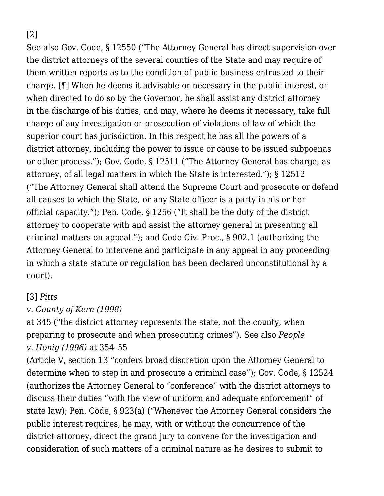[\[2\]](#page--1-0)

See also Gov. Code, § 12550 ("The Attorney General has direct supervision over the district attorneys of the several counties of the State and may require of them written reports as to the condition of public business entrusted to their charge. [¶] When he deems it advisable or necessary in the public interest, or when directed to do so by the Governor, he shall assist any district attorney in the discharge of his duties, and may, where he deems it necessary, take full charge of any investigation or prosecution of violations of law of which the superior court has jurisdiction. In this respect he has all the powers of a district attorney, including the power to issue or cause to be issued subpoenas or other process."); Gov. Code, § 12511 ("The Attorney General has charge, as attorney, of all legal matters in which the State is interested."); § 12512 ("The Attorney General shall attend the Supreme Court and prosecute or defend all causes to which the State, or any State officer is a party in his or her official capacity."); Pen. Code, § 1256 ("It shall be the duty of the district attorney to cooperate with and assist the attorney general in presenting all criminal matters on appeal."); and Code Civ. Proc., § 902.1 (authorizing the Attorney General to intervene and participate in any appeal in any proceeding in which a state statute or regulation has been declared unconstitutional by a court).

#### [\[3\]](#page--1-0) *[Pitts](https://scholar.google.com/scholar_case?case=8020361347795298058&q=17+Cal.4th+340&hl=en&as_sdt=2006)*

# *[v. County of Kern \(1998\)](https://scholar.google.com/scholar_case?case=8020361347795298058&q=17+Cal.4th+340&hl=en&as_sdt=2006)*

at 345 ("the district attorney represents the state, not the county, when preparing to prosecute and when prosecuting crimes"). See also *[People](https://scholar.google.com/scholar_case?case=16462646090985307573&q=48+Cal.App.4th+289&hl=en&as_sdt=2006) [v. Honig \(1996\)](https://scholar.google.com/scholar_case?case=16462646090985307573&q=48+Cal.App.4th+289&hl=en&as_sdt=2006)* at 354–55

(Article V, section 13 "confers broad discretion upon the Attorney General to determine when to step in and prosecute a criminal case"); Gov. Code, § 12524 (authorizes the Attorney General to "conference" with the district attorneys to discuss their duties "with the view of uniform and adequate enforcement" of state law); Pen. Code, § 923(a) ("Whenever the Attorney General considers the public interest requires, he may, with or without the concurrence of the district attorney, direct the grand jury to convene for the investigation and consideration of such matters of a criminal nature as he desires to submit to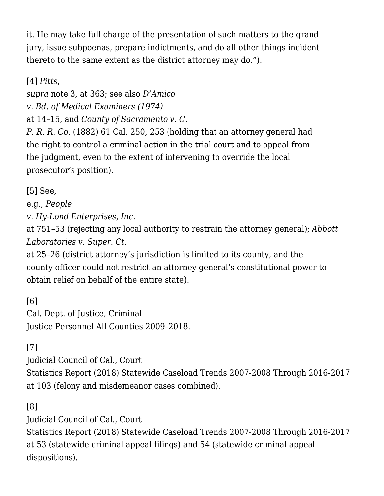it. He may take full charge of the presentation of such matters to the grand jury, issue subpoenas, prepare indictments, and do all other things incident thereto to the same extent as the district attorney may do.").

[\[4\]](#page--1-0) *[Pitts](https://scholar.google.com/scholar_case?case=8020361347795298058&q=17+Cal.4th+340&hl=en&as_sdt=2006)*,

*supra* note 3, at 363; see also *[D'Amico](https://scholar.google.com/scholar_case?case=6125437638455016554&q=11+Cal.3d+1&hl=en&as_sdt=2006)*

*[v. Bd. of Medical Examiners \(1974\)](https://scholar.google.com/scholar_case?case=6125437638455016554&q=11+Cal.3d+1&hl=en&as_sdt=2006)*

at 14–15, and *County of Sacramento v. C.*

*P. R. R. Co.* (1882) 61 Cal. 250, 253 (holding that an attorney general had the right to control a criminal action in the trial court and to appeal from the judgment, even to the extent of intervening to override the local prosecutor's position).

[\[5\]](#page--1-0) See,

e.g., *[People](https://scholar.google.com/scholar_case?case=12654312975877292408&q=93+Cal.App.3d+734&hl=en&as_sdt=2006)*

*[v. Hy-Lond Enterprises, Inc.](https://scholar.google.com/scholar_case?case=12654312975877292408&q=93+Cal.App.3d+734&hl=en&as_sdt=2006)*

at 751–53 (rejecting any local authority to restrain the attorney general); *[Abbott](https://scholar.google.com/scholar_case?case=12308013392826114827&q=24+Cal.App.5th+1&hl=en&as_sdt=2006) [Laboratories v. Super. Ct](https://scholar.google.com/scholar_case?case=12308013392826114827&q=24+Cal.App.5th+1&hl=en&as_sdt=2006).*

at 25–26 (district attorney's jurisdiction is limited to its county, and the county officer could not restrict an attorney general's constitutional power to obtain relief on behalf of the entire state).

[\[6\]](#page--1-0) Cal. Dept. of Justice, [Criminal](https://openjustice.doj.ca.gov/exploration/crime-statistics/criminal-justice-personnel) [Justice Personnel All Counties 2009–2018.](https://openjustice.doj.ca.gov/exploration/crime-statistics/criminal-justice-personnel)

[\[7\]](#page--1-0)

Judicial Council of Cal., [Court](https://www.courts.ca.gov/documents/2018-Court-Statistics-Report.pdf)

[Statistics Report \(2018\) Statewide Caseload Trends 2007-2008 Through 2016-2017](https://www.courts.ca.gov/documents/2018-Court-Statistics-Report.pdf) at 103 (felony and misdemeanor cases combined).

[\[8\]](#page--1-0)

Judicial Council of Cal., [Court](https://www.courts.ca.gov/documents/2018-Court-Statistics-Report.pdf)

[Statistics Report \(2018\) Statewide Caseload Trends 2007-2008 Through 2016-2017](https://www.courts.ca.gov/documents/2018-Court-Statistics-Report.pdf) at 53 (statewide criminal appeal filings) and 54 (statewide criminal appeal dispositions).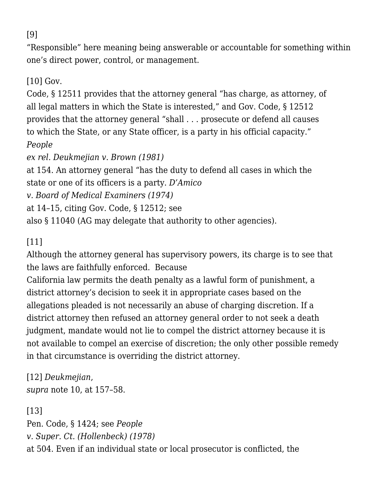"Responsible" here meaning being answerable or accountable for something within one's direct power, control, or management.

[\[10\]](#page--1-0) Gov.

Code, § 12511 provides that the attorney general "has charge, as attorney, of all legal matters in which the State is interested," and Gov. Code, § 12512 provides that the attorney general "shall . . . prosecute or defend all causes to which the State, or any State officer, is a party in his official capacity." *[People](https://scholar.google.com/scholar_case?case=12359334298314616752&q=29+Cal.3d+150&hl=en&as_sdt=2006)*

*[ex rel. Deukmejian v. Brown \(1981\)](https://scholar.google.com/scholar_case?case=12359334298314616752&q=29+Cal.3d+150&hl=en&as_sdt=2006)*

at 154. An attorney general "has the duty to defend all cases in which the state or one of its officers is a party. *[D'Amico](https://scholar.google.com/scholar_case?case=6125437638455016554&q=11+Cal.3d+1&hl=en&as_sdt=2006)*

*[v. Board of Medical Examiners \(1974\)](https://scholar.google.com/scholar_case?case=6125437638455016554&q=11+Cal.3d+1&hl=en&as_sdt=2006)*

at 14–15, citing Gov. Code, § 12512; see

also § 11040 (AG may delegate that authority to other agencies).

# [\[11\]](#page--1-0)

Although the attorney general has supervisory powers, its charge is to see that the laws are faithfully enforced. Because

California law permits the death penalty as a lawful form of punishment, a district attorney's decision to seek it in appropriate cases based on the allegations pleaded is not necessarily an abuse of charging discretion. If a district attorney then refused an attorney general order to not seek a death judgment, mandate would not lie to compel the district attorney because it is not available to compel an exercise of discretion; the only other possible remedy in that circumstance is overriding the district attorney.

[\[12\]](#page--1-0) *[Deukmejian](https://scholar.google.com/scholar_case?case=12359334298314616752&q=29+Cal.3d+150&hl=en&as_sdt=2006)*, *supra* note 10, at 157–58.

[\[13\]](#page--1-0) Pen. Code, § 1424; see *[People](https://scholar.google.com/scholar_case?case=15410667398548330517&q=84+Cal.App.3d+491&hl=en&as_sdt=2006) [v. Super. Ct. \(Hollenbeck\) \(1978\)](https://scholar.google.com/scholar_case?case=15410667398548330517&q=84+Cal.App.3d+491&hl=en&as_sdt=2006)* at 504. Even if an individual state or local prosecutor is conflicted, the

[\[9\]](#page--1-0)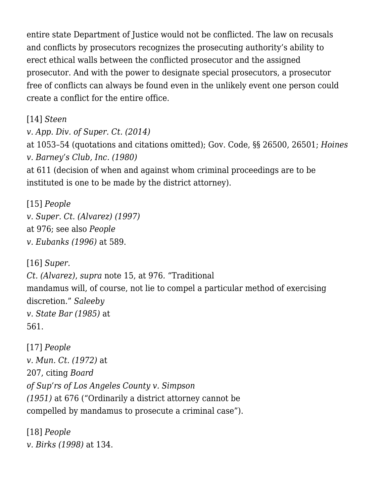entire state Department of Justice would not be conflicted. The law on recusals and conflicts by prosecutors recognizes the prosecuting authority's ability to erect ethical walls between the conflicted prosecutor and the assigned prosecutor. And with the power to designate special prosecutors, a prosecutor free of conflicts can always be found even in the unlikely event one person could create a conflict for the entire office.

[\[14\]](#page--1-0) *[Steen](https://scholar.google.com/scholar_case?case=7757576256049703872&q=59+Cal.4th+1045&hl=en&as_sdt=2006) [v. App. Div. of Super. Ct. \(2014\)](https://scholar.google.com/scholar_case?case=7757576256049703872&q=59+Cal.4th+1045&hl=en&as_sdt=2006)* at 1053–54 (quotations and citations omitted); Gov. Code, §§ 26500, 26501; *[Hoines](https://scholar.google.com/scholar_case?case=11123130661716996626&q=28+Cal.3d+603&hl=en&as_sdt=2006) [v. Barney's Club, Inc. \(1980\)](https://scholar.google.com/scholar_case?case=11123130661716996626&q=28+Cal.3d+603&hl=en&as_sdt=2006)* at 611 (decision of when and against whom criminal proceedings are to be instituted is one to be made by the district attorney).

[\[15\]](#page--1-0) *[People](https://scholar.google.com/scholar_case?case=633580412252520377&q=14+Cal.4th+968&hl=en&as_sdt=2006) [v. Super. Ct. \(Alvarez\) \(1997\)](https://scholar.google.com/scholar_case?case=633580412252520377&q=14+Cal.4th+968&hl=en&as_sdt=2006)* at 976; see also *[People](https://scholar.google.com/scholar_case?case=569468614724033352&q=14+Cal.4th+580&hl=en&as_sdt=2006) [v. Eubanks \(1996\)](https://scholar.google.com/scholar_case?case=569468614724033352&q=14+Cal.4th+580&hl=en&as_sdt=2006)* at 589.

[\[16\]](#page--1-0) *[Super.](https://scholar.google.com/scholar_case?case=633580412252520377&q=14+Cal.4th+968&hl=en&as_sdt=2006) [Ct. \(Alvarez\)](https://scholar.google.com/scholar_case?case=633580412252520377&q=14+Cal.4th+968&hl=en&as_sdt=2006)*, *supra* note 15, at 976*.* "Traditional mandamus will, of course, not lie to compel a particular method of exercising discretion." *[Saleeby](https://scholar.google.com/scholar_case?case=6135333790991652198&q=39+Cal.3d+547&hl=en&as_sdt=2006) [v. State Bar \(1985\)](https://scholar.google.com/scholar_case?case=6135333790991652198&q=39+Cal.3d+547&hl=en&as_sdt=2006)* at 561.

[\[17\]](#page--1-0) *[People](https://scholar.google.com/scholar_case?case=14123384713266943549&q=27+Cal.App.3d+193&hl=en&as_sdt=2006) [v. Mun. Ct. \(1972\)](https://scholar.google.com/scholar_case?case=14123384713266943549&q=27+Cal.App.3d+193&hl=en&as_sdt=2006)* at 207, citing *[Board](https://scholar.google.com/scholar_case?case=12705712149463753301&q=36+Cal.2d+671&hl=en&as_sdt=2006) [of Sup'rs of Los Angeles County v. Simpson](https://scholar.google.com/scholar_case?case=12705712149463753301&q=36+Cal.2d+671&hl=en&as_sdt=2006) [\(1951\)](https://scholar.google.com/scholar_case?case=12705712149463753301&q=36+Cal.2d+671&hl=en&as_sdt=2006)* at 676 ("Ordinarily a district attorney cannot be compelled by mandamus to prosecute a criminal case").

[\[18\]](#page--1-0) *[People](https://scholar.google.com/scholar_case?case=3508087020228182587&q=19+Cal.4th+108&hl=en&as_sdt=2006) [v. Birks \(1998\)](https://scholar.google.com/scholar_case?case=3508087020228182587&q=19+Cal.4th+108&hl=en&as_sdt=2006)* at 134.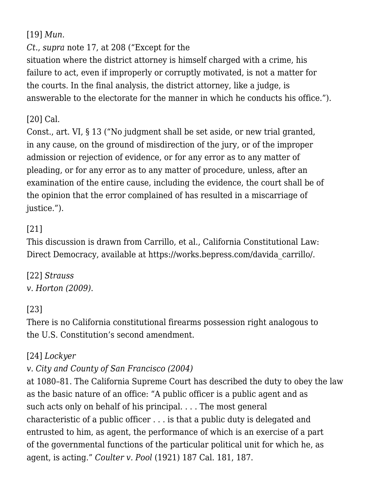[\[19\]](#page--1-0) *[Mun.](https://scholar.google.com/scholar_case?case=14123384713266943549&q=27+Cal.App.3d+193&hl=en&as_sdt=2006)*

*[Ct.](https://scholar.google.com/scholar_case?case=14123384713266943549&q=27+Cal.App.3d+193&hl=en&as_sdt=2006)*, *supra* note 17, at 208 ("Except for the

situation where the district attorney is himself charged with a crime, his failure to act, even if improperly or corruptly motivated, is not a matter for the courts. In the final analysis, the district attorney, like a judge, is answerable to the electorate for the manner in which he conducts his office.").

# [\[20\]](#page--1-0) Cal.

Const., art. VI, § 13 ("No judgment shall be set aside, or new trial granted, in any cause, on the ground of misdirection of the jury, or of the improper admission or rejection of evidence, or for any error as to any matter of pleading, or for any error as to any matter of procedure, unless, after an examination of the entire cause, including the evidence, the court shall be of the opinion that the error complained of has resulted in a miscarriage of justice.").

# [\[21\]](#page--1-0)

This discussion is drawn from Carrillo, et al., California Constitutional Law: Direct Democracy, available at [https://works.bepress.com/davida\\_carrillo/.](https://works.bepress.com/davida_carrillo/)

[\[22\]](#page--1-0) *[Strauss](https://scholar.google.com/scholar_case?case=9082640017146288769&q=strauss+v+horton&hl=en&as_sdt=2006) [v. Horton \(2009\)](https://scholar.google.com/scholar_case?case=9082640017146288769&q=strauss+v+horton&hl=en&as_sdt=2006)*.

# [\[23\]](#page--1-0)

There is no California constitutional firearms possession right analogous to the U.S. Constitution's second amendment.

## [\[24\]](#page--1-0) *[Lockyer](https://scholar.google.com/scholar_case?case=2060307963634374123&q=33+Cal.4th+1055&hl=en&as_sdt=2006)*

## *[v. City and County of San Francisco \(2004\)](https://scholar.google.com/scholar_case?case=2060307963634374123&q=33+Cal.4th+1055&hl=en&as_sdt=2006)*

at 1080–81. The California Supreme Court has described the duty to obey the law as the basic nature of an office: "A public officer is a public agent and as such acts only on behalf of his principal. . . . The most general characteristic of a public officer . . . is that a public duty is delegated and entrusted to him, as agent, the performance of which is an exercise of a part of the governmental functions of the particular political unit for which he, as agent, is acting." *Coulter v. Pool* (1921) 187 Cal. 181, 187.